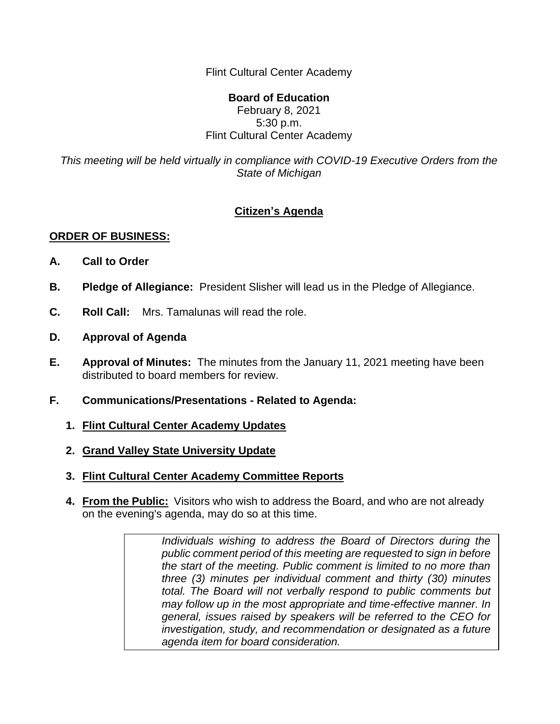Flint Cultural Center Academy

## **Board of Education** February 8, 2021 5:30 p.m. Flint Cultural Center Academy

*This meeting will be held virtually in compliance with COVID-19 Executive Orders from the State of Michigan*

## **Citizen's Agenda**

## **ORDER OF BUSINESS:**

- **A. Call to Order**
- **B. Pledge of Allegiance:** President Slisher will lead us in the Pledge of Allegiance.
- **C. Roll Call:** Mrs. Tamalunas will read the role.
- **D. Approval of Agenda**
- **E. Approval of Minutes:** The minutes from the January 11, 2021 meeting have been distributed to board members for review.
- **F. Communications/Presentations - Related to Agenda:**
	- **1. Flint Cultural Center Academy Updates**
	- **2. Grand Valley State University Update**
	- **3. Flint Cultural Center Academy Committee Reports**
	- **4. From the Public:** Visitors who wish to address the Board, and who are not already on the evening's agenda, may do so at this time.

*Individuals wishing to address the Board of Directors during the public comment period of this meeting are requested to sign in before the start of the meeting. Public comment is limited to no more than three (3) minutes per individual comment and thirty (30) minutes total. The Board will not verbally respond to public comments but may follow up in the most appropriate and time-effective manner. In general, issues raised by speakers will be referred to the CEO for investigation, study, and recommendation or designated as a future agenda item for board consideration.*